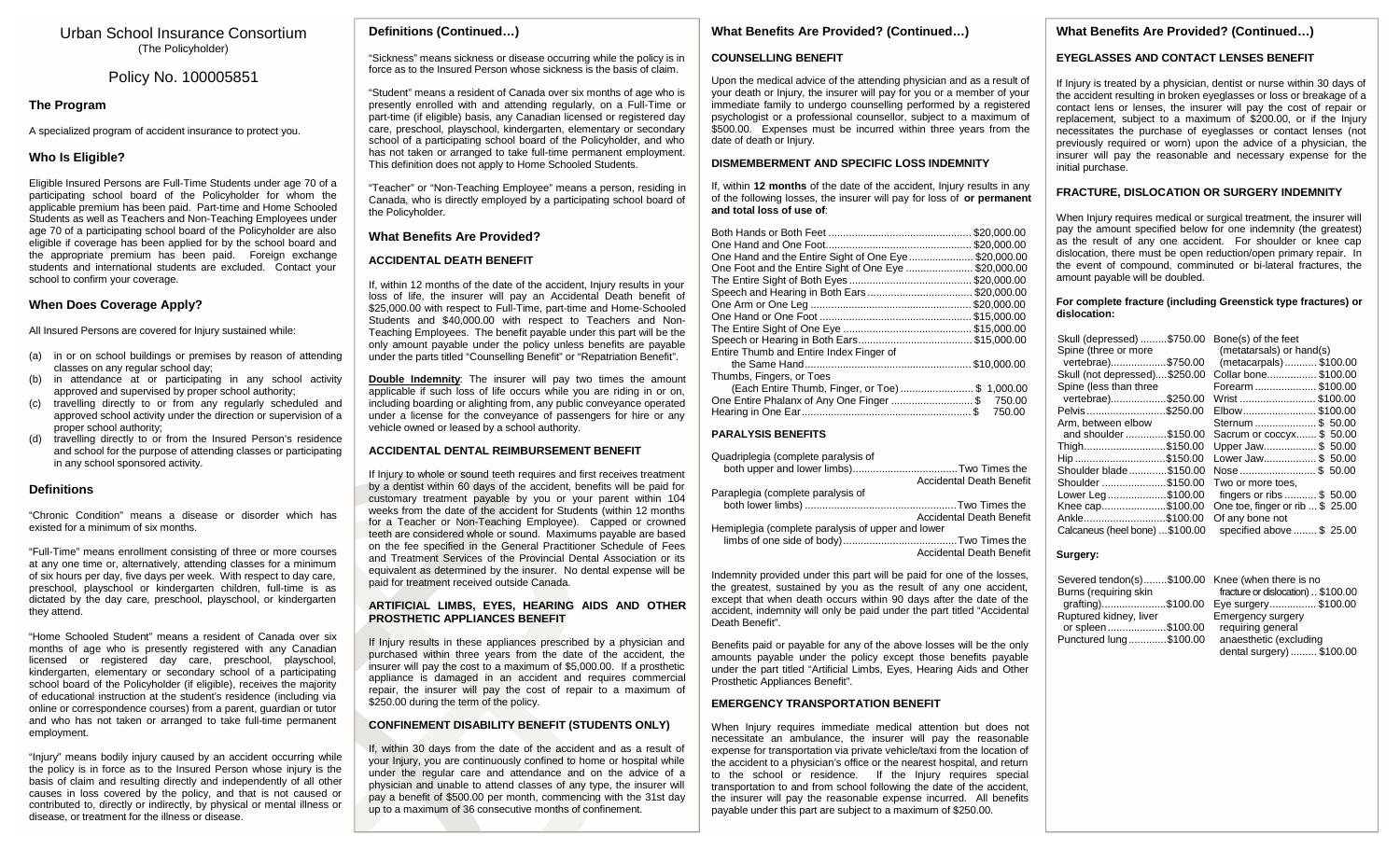## Urban School Insurance Consortium (The Policyholder)

## Policy No. 100005851

## **The Program**

A specialized program of accident insurance to protect you.

## **Who Is Eligible?**

Eligible Insured Persons are Full-Time Students under age 70 of a participating school board of the Policyholder for whom the applicable premium has been paid. Part-time and Home Schooled Students as well as Teachers and Non-Teaching Employees under age 70 of a participating school board of the Policyholder are also eligible if coverage has been applied for by the school board and the appropriate premium has been paid. Foreign exchange students and international students are excluded. Contact your school to confirm your coverage.

## **When Does Coverage Apply?**

All Insured Persons are covered for Injury sustained while:

- (a) in or on school buildings or premises by reason of attending classes on any regular school day;
- in attendance at or participating in any school activity approved and supervised by proper school authority;
- (c) travelling directly to or from any regularly scheduled and approved school activity under the direction or supervision of a proper school authority;
- (d) travelling directly to or from the Insured Person's residence and school for the purpose of attending classes or participating in any school sponsored activity.

## **Definitions**

"Chronic Condition" means a disease or disorder which has existed for a minimum of six months.

"Full-Time" means enrollment consisting of three or more courses at any one time or, alternatively, attending classes for a minimum of six hours per day, five days per week. With respect to day care, preschool, playschool or kindergarten children, full-time is as dictated by the day care, preschool, playschool, or kindergarten they attend.

"Home Schooled Student" means a resident of Canada over six months of age who is presently registered with any Canadian licensed or registered day care, preschool, playschool, kindergarten, elementary or secondary school of a participating school board of the Policyholder (if eligible), receives the majority of educational instruction at the student's residence (including via online or correspondence courses) from a parent, guardian or tutor and who has not taken or arranged to take full-time permanent employment.

"Injury" means bodily injury caused by an accident occurring while the policy is in force as to the Insured Person whose injury is the basis of claim and resulting directly and independently of all other causes in loss covered by the policy, and that is not caused or contributed to, directly or indirectly, by physical or mental illness or disease, or treatment for the illness or disease.

## **Definitions (Continued…)**

"Sickness" means sickness or disease occurring while the policy is in force as to the Insured Person whose sickness is the basis of claim.

"Student" means a resident of Canada over six months of age who is presently enrolled with and attending regularly, on a Full-Time or part-time (if eligible) basis, any Canadian licensed or registered day care, preschool, playschool, kindergarten, elementary or secondary school of a participating school board of the Policyholder, and who has not taken or arranged to take full-time permanent employment. This definition does not apply to Home Schooled Students.

"Teacher" or "Non-Teaching Employee" means a person, residing in Canada, who is directly employed by a participating school board of the Policyholder.

## **What Benefits Are Provided?**

## **ACCIDENTAL DEATH BENEFIT**

If, within 12 months of the date of the accident, Injury results in your loss of life, the insurer will pay an Accidental Death benefit of \$25,000.00 with respect to Full-Time, part-time and Home-Schooled Students and \$40,000.00 with respect to Teachers and Non-Teaching Employees. The benefit payable under this part will be the only amount payable under the policy unless benefits are payable under the parts titled "Counselling Benefit" or "Repatriation Benefit".

**Double Indemnity**: The insurer will pay two times the amount applicable if such loss of life occurs while you are riding in or on, including boarding or alighting from, any public conveyance operated under a license for the conveyance of passengers for hire or any vehicle owned or leased by a school authority.

## **ACCIDENTAL DENTAL REIMBURSEMENT BENEFIT**

If Injury to whole or sound teeth requires and first receives treatment by a dentist within 60 days of the accident, benefits will be paid for customary treatment payable by you or your parent within 104 weeks from the date of the accident for Students (within 12 months for a Teacher or Non-Teaching Employee). Capped or crowned teeth are considered whole or sound. Maximums payable are based on the fee specified in the General Practitioner Schedule of Fees and Treatment Services of the Provincial Dental Association or its equivalent as determined by the insurer. No dental expense will be paid for treatment received outside Canada.

#### **ARTIFICIAL LIMBS, EYES, HEARING AIDS AND OTHER PROSTHETIC APPLIANCES BENEFIT**

If Injury results in these appliances prescribed by a physician and purchased within three years from the date of the accident, the insurer will pay the cost to a maximum of \$5,000.00. If a prosthetic appliance is damaged in an accident and requires commercial repair, the insurer will pay the cost of repair to a maximum of \$250.00 during the term of the policy.

#### **CONFINEMENT DISABILITY BENEFIT (STUDENTS ONLY)**

If, within 30 days from the date of the accident and as a result of your Injury, you are continuously confined to home or hospital while under the regular care and attendance and on the advice of a physician and unable to attend classes of any type, the insurer will pay a benefit of \$500.00 per month, commencing with the 31st day up to a maximum of 36 consecutive months of confinement.

## **What Benefits Are Provided? (Continued…)**

## **COUNSELLING BENEFIT**

Upon the medical advice of the attending physician and as a result of your death or Injury, the insurer will pay for you or a member of your immediate family to undergo counselling performed by a registered psychologist or a professional counsellor, subject to a maximum of \$500.00. Expenses must be incurred within three years from the date of death or Injury.

## **DISMEMBERMENT AND SPECIFIC LOSS INDEMNITY**

If, within **12 months** of the date of the accident, Injury results in any of the following losses, the insurer will pay for loss of **or permanent and total loss of use of**:

|                                                      | \$20,000.00 |
|------------------------------------------------------|-------------|
|                                                      |             |
| One Hand and the Entire Sight of One Eye\$20,000.00  |             |
| One Foot and the Entire Sight of One Eye \$20,000.00 |             |
|                                                      | \$20,000.00 |
| Speech and Hearing in Both Ears\$20,000.00           |             |
|                                                      |             |
|                                                      |             |
|                                                      |             |
|                                                      |             |
| Entire Thumb and Entire Index Finger of              |             |
|                                                      | \$10.000.00 |
| Thumbs, Fingers, or Toes                             |             |
| (Each Entire Thumb, Finger, or Toe)\$ 1,000.00       |             |
| One Entire Phalanx of Any One Finger \$ 750.00       |             |
|                                                      | 750.00      |
|                                                      |             |

#### **PARALYSIS BENEFITS**

| Quadriplegia (complete paralysis of               |                                 |  |
|---------------------------------------------------|---------------------------------|--|
|                                                   |                                 |  |
|                                                   | <b>Accidental Death Benefit</b> |  |
| Paraplegia (complete paralysis of                 |                                 |  |
|                                                   |                                 |  |
|                                                   | <b>Accidental Death Benefit</b> |  |
| Hemiplegia (complete paralysis of upper and lower |                                 |  |
|                                                   |                                 |  |
|                                                   | <b>Accidental Death Benefit</b> |  |

Indemnity provided under this part will be paid for one of the losses, the greatest, sustained by you as the result of any one accident, except that when death occurs within 90 days after the date of the accident, indemnity will only be paid under the part titled "Accidental Death Benefit".

Benefits paid or payable for any of the above losses will be the only amounts payable under the policy except those benefits payable under the part titled "Artificial Limbs, Eyes, Hearing Aids and Other Prosthetic Appliances Benefit".

## **EMERGENCY TRANSPORTATION BENEFIT**

When Injury requires immediate medical attention but does not necessitate an ambulance, the insurer will pay the reasonable expense for transportation via private vehicle/taxi from the location of the accident to a physician's office or the nearest hospital, and return to the school or residence. If the Injury requires special transportation to and from school following the date of the accident, the insurer will pay the reasonable expense incurred. All benefits payable under this part are subject to a maximum of \$250.00.

## **What Benefits Are Provided? (Continued…)**

## **EYEGLASSES AND CONTACT LENSES BENEFIT**

If Injury is treated by a physician, dentist or nurse within 30 days of the accident resulting in broken eyeglasses or loss or breakage of a contact lens or lenses, the insurer will pay the cost of repair or replacement, subject to a maximum of \$200.00, or if the Injury necessitates the purchase of eyeglasses or contact lenses (not previously required or worn) upon the advice of a physician, the insurer will pay the reasonable and necessary expense for the initial purchase.

### **FRACTURE, DISLOCATION OR SURGERY INDEMNITY**

When Injury requires medical or surgical treatment, the insurer will pay the amount specified below for one indemnity (the greatest) as the result of any one accident. For shoulder or knee cap dislocation, there must be open reduction/open primary repair. In the event of compound, comminuted or bi-lateral fractures, the amount payable will be doubled.

#### **For complete fracture (including Greenstick type fractures) or dislocation:**

| Skull (depressed) \$750.00 Bone(s) of the feet |                                 |  |
|------------------------------------------------|---------------------------------|--|
| Spine (three or more                           | (metatarsals) or hand(s)        |  |
| vertebrae)<br>\$750.00                         | (metacarpals) \$100.00          |  |
| Skull (not depressed)\$250.00                  | Collar bone\$100.00             |  |
| Spine (less than three                         | Forearm  \$100.00               |  |
| vertebrae)\$250.00                             | Wrist  \$100.00                 |  |
| Pelvis \$250.00                                | Elbow \$100.00                  |  |
| Arm, between elbow                             | Sternum  \$ 50.00               |  |
| and shoulder<br>.\$150.00                      | Sacrum or coccyx \$50.00        |  |
| Thigh\$150.00                                  | Upper Jaw\$ 50.00               |  |
| Hip \$150.00                                   | Lower Jaw\$ 50.00               |  |
| Shoulder blade\$150.00                         |                                 |  |
| Shoulder \$150.00                              | Two or more toes.               |  |
| Lower Leg\$100.00                              | fingers or ribs  \$ 50.00       |  |
| Knee cap\$100.00                               | One toe, finger or rib  \$25.00 |  |
| Ankle\$100.00                                  | Of any bone not                 |  |
| Calcaneus (heel bone) \$100.00                 | specified above  \$25.00        |  |

#### **Surgery:**

| Severed tendon(s)\$100.00 Knee (when there is no |                                       |
|--------------------------------------------------|---------------------------------------|
| Burns (requiring skin                            | fracture or dislocation)  \$100.00    |
|                                                  | grafting)\$100.00 Eye surgery\$100.00 |
| Ruptured kidney, liver                           | <b>Emergency surgery</b>              |
| or spleen \$100.00                               | requiring general                     |
| Punctured lung\$100.00                           | anaesthetic (excluding                |
|                                                  | dental surgery)  \$100.00             |